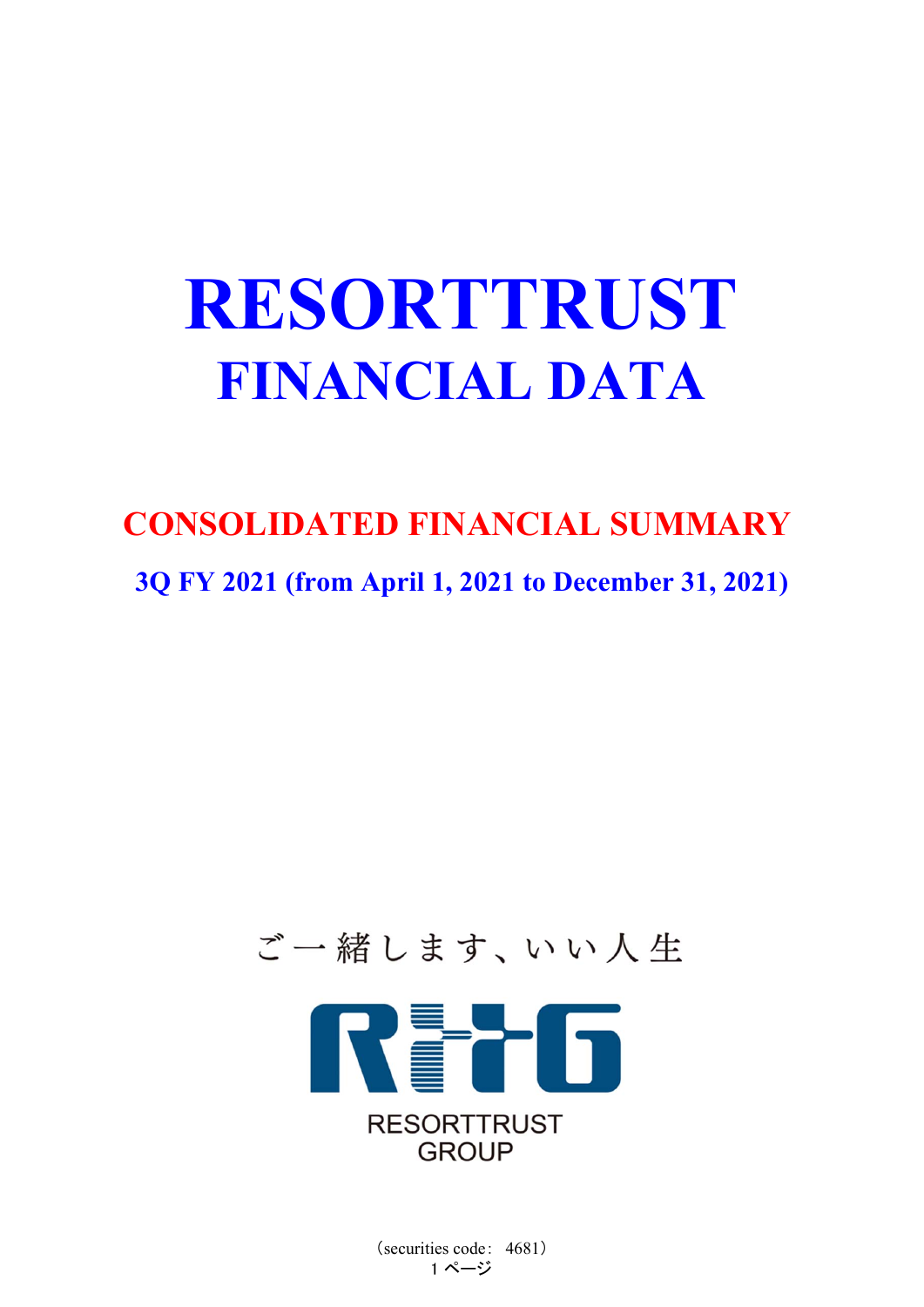# **RESORTTRUST FINANCIAL DATA**

## **CONSOLIDATED FINANCIAL SUMMARY**

**3Q FY 2021 (from April 1, 2021 to December 31, 2021)**

## ご一緒します、いい人生



(securities code: 4681) 1 ページ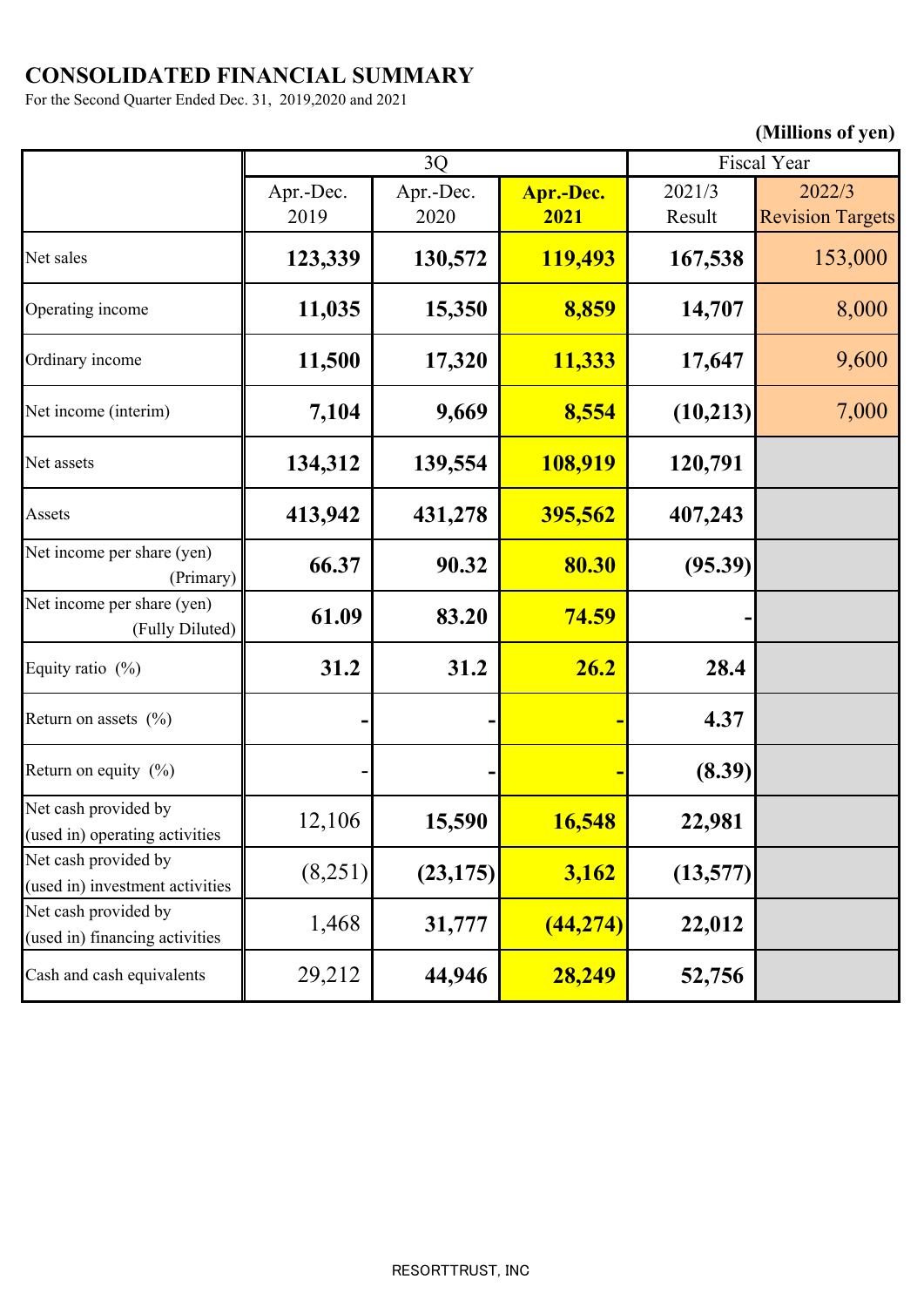## **CONSOLIDATED FINANCIAL SUMMARY**

For the Second Quarter Ended Dec. 31, 2019,2020 and 2021

## **(Millions of yen)**

|                                                         | 3Q                |                   | Fiscal Year       |                  |                                   |
|---------------------------------------------------------|-------------------|-------------------|-------------------|------------------|-----------------------------------|
|                                                         | Apr.-Dec.<br>2019 | Apr.-Dec.<br>2020 | Apr.-Dec.<br>2021 | 2021/3<br>Result | 2022/3<br><b>Revision Targets</b> |
| Net sales                                               | 123,339           | 130,572           | 119,493           | 167,538          | 153,000                           |
| Operating income                                        | 11,035            | 15,350            | 8,859             | 14,707           | 8,000                             |
| Ordinary income                                         | 11,500            | 17,320            | 11,333            | 17,647           | 9,600                             |
| Net income (interim)                                    | 7,104             | 9,669             | 8,554             | (10,213)         | 7,000                             |
| Net assets                                              | 134,312           | 139,554           | 108,919           | 120,791          |                                   |
| Assets                                                  | 413,942           | 431,278           | 395,562           | 407,243          |                                   |
| Net income per share (yen)<br>(Primary)                 | 66.37             | 90.32             | 80.30             | (95.39)          |                                   |
| Net income per share (yen)<br>(Fully Diluted)           | 61.09             | 83.20             | <b>74.59</b>      |                  |                                   |
| Equity ratio (%)                                        | 31.2              | 31.2              | 26.2              | 28.4             |                                   |
| Return on assets $(%)$                                  |                   |                   |                   | 4.37             |                                   |
| Return on equity $(\% )$                                |                   |                   |                   | (8.39)           |                                   |
| Net cash provided by<br>(used in) operating activities  | 12,106            | 15,590            | 16,548            | 22,981           |                                   |
| Net cash provided by<br>(used in) investment activities | (8,251)           | (23, 175)         | 3,162             | (13,577)         |                                   |
| Net cash provided by<br>(used in) financing activities  | 1,468             | 31,777            | (44, 274)         | 22,012           |                                   |
| Cash and cash equivalents                               | 29,212            | 44,946            | 28,249            | 52,756           |                                   |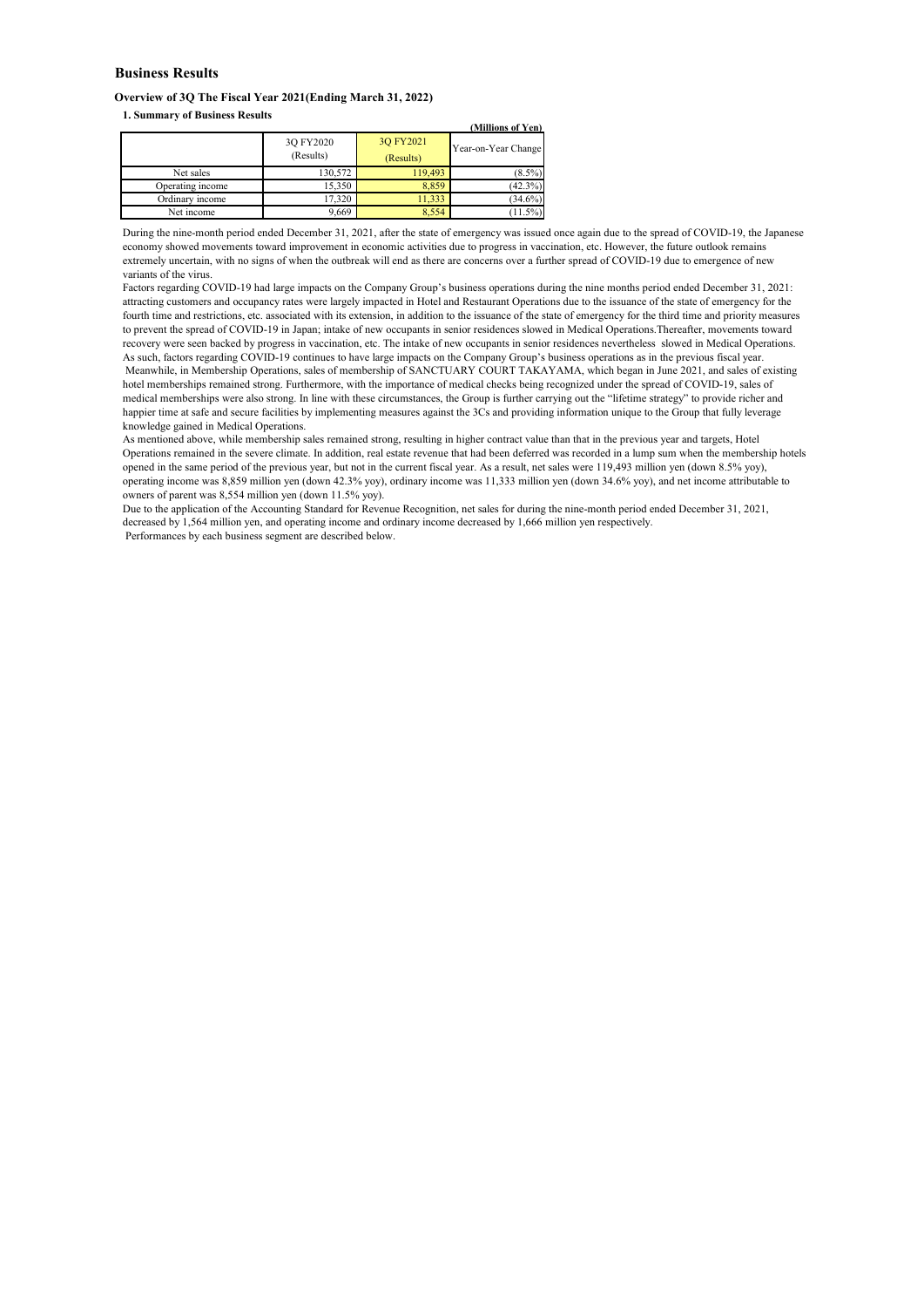#### **Business Results**

#### **Overview of 3Q The Fiscal Year 2021(Ending March 31, 2022)**

**1. Summary of Business Results**

| 1, Dummur y or Dusiness recsults |                        |                        | (Millions of Yen)   |
|----------------------------------|------------------------|------------------------|---------------------|
|                                  | 3Q FY2020<br>(Results) | 3Q FY2021<br>(Results) | Year-on-Year Change |
| Net sales                        | 130,572                | 119,493                | $(8.5\%)$           |
| Operating income                 | 15,350                 | 8,859                  | $(42.3\%)$          |
| Ordinary income                  | 17.320                 | 11.333                 | $(34.6\%)$          |
| Net income                       | 9,669                  | 8.554                  | (11.5%)             |

During the nine-month period ended December 31, 2021, after the state of emergency was issued once again due to the spread of COVID-19, the Japanese economy showed movements toward improvement in economic activities due to progress in vaccination, etc. However, the future outlook remains extremely uncertain, with no signs of when the outbreak will end as there are concerns over a further spread of COVID-19 due to emergence of new variants of the virus.

Factors regarding COVID-19 had large impacts on the Company Group's business operations during the nine months period ended December 31, 2021: attracting customers and occupancy rates were largely impacted in Hotel and Restaurant Operations due to the issuance of the state of emergency for the fourth time and restrictions, etc. associated with its extension, in addition to the issuance of the state of emergency for the third time and priority measures to prevent the spread of COVID-19 in Japan; intake of new occupants in senior residences slowed in Medical Operations.Thereafter, movements toward recovery were seen backed by progress in vaccination, etc. The intake of new occupants in senior residences nevertheless slowed in Medical Operations. As such, factors regarding COVID-19 continues to have large impacts on the Company Group's business operations as in the previous fiscal year. Meanwhile, in Membership Operations, sales of membership of SANCTUARY COURT TAKAYAMA, which began in June 2021, and sales of existing hotel memberships remained strong. Furthermore, with the importance of medical checks being recognized under the spread of COVID-19, sales of medical memberships were also strong. In line with these circumstances, the Group is further carrying out the "lifetime strategy" to provide richer and

happier time at safe and secure facilities by implementing measures against the 3Cs and providing information unique to the Group that fully leverage knowledge gained in Medical Operations.

As mentioned above, while membership sales remained strong, resulting in higher contract value than that in the previous year and targets, Hotel Operations remained in the severe climate. In addition, real estate revenue that had been deferred was recorded in a lump sum when the membership hotels opened in the same period of the previous year, but not in the current fiscal year. As a result, net sales were 119,493 million yen (down 8.5% yoy), operating income was 8,859 million yen (down 42.3% yoy), ordinary income was 11,333 million yen (down 34.6% yoy), and net income attributable to owners of parent was 8,554 million yen (down 11.5% yoy).

Due to the application of the Accounting Standard for Revenue Recognition, net sales for during the nine-month period ended December 31, 2021, decreased by 1,564 million yen, and operating income and ordinary income decreased by 1,666 million yen respectively. Performances by each business segment are described below.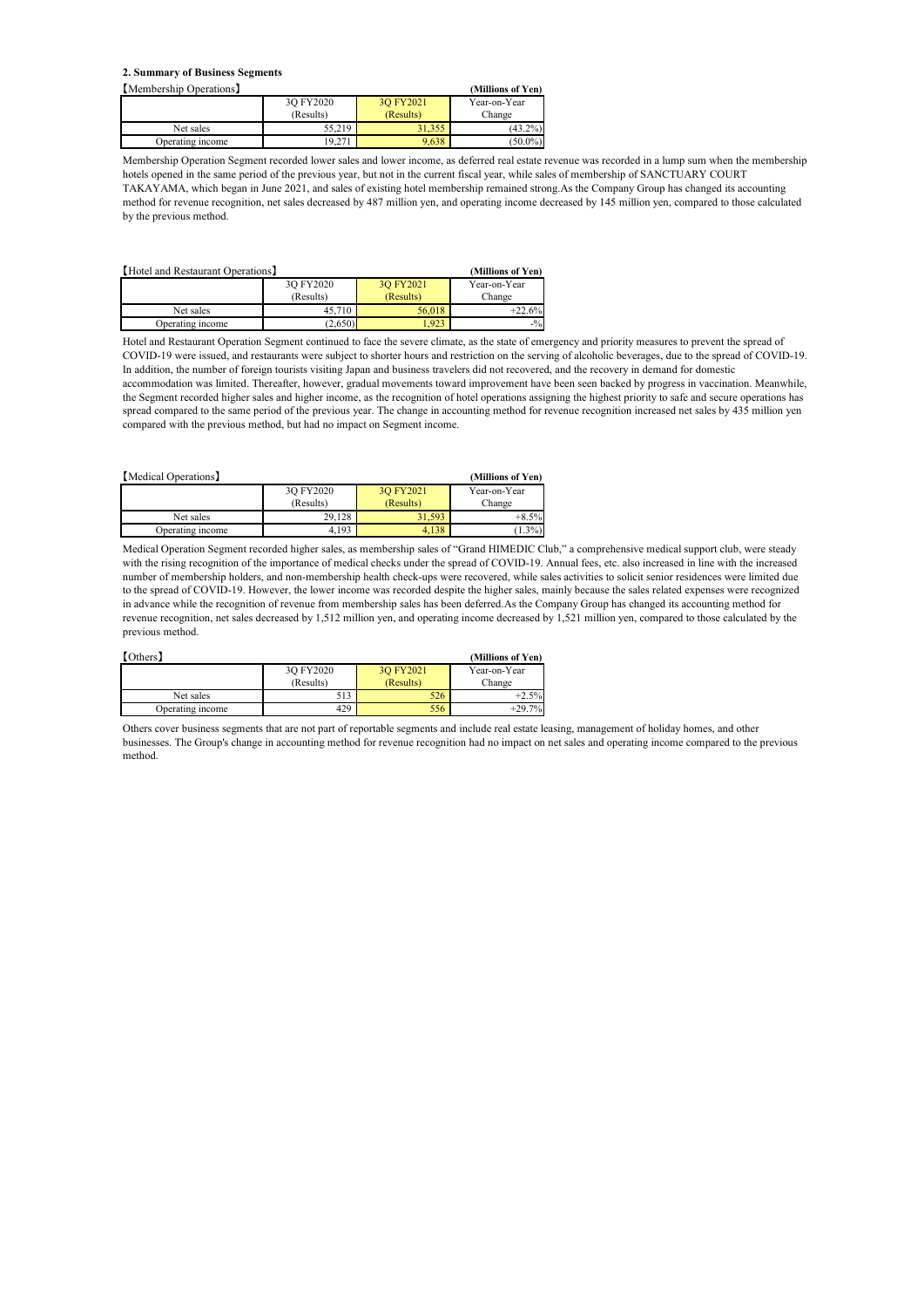#### **2. Summary of Business Segments**

| Membership Operations I |           |           | (Millions of Yen) |
|-------------------------|-----------|-----------|-------------------|
|                         | 3O FY2020 | 3O FY2021 | Year-on-Year      |
|                         | (Results) | (Results) | Change            |
| Net sales               | 55.219    | 31.355    | $(43.2\%)$        |
| Operating income        | 19.27.    | 9.638     | $(50.0\%)$        |

Membership Operation Segment recorded lower sales and lower income, as deferred real estate revenue was recorded in a lump sum when the membership hotels opened in the same period of the previous year, but not in the current fiscal year, while sales of membership of SANCTUARY COURT TAKAYAMA, which began in June 2021, and sales of existing hotel membership remained strong.As the Company Group has changed its accounting method for revenue recognition, net sales decreased by 487 million yen, and operating income decreased by 145 million yen, compared to those calculated by the previous method.

| [Hotel and Restaurant Operations] |           |           | (Millions of Yen) |
|-----------------------------------|-----------|-----------|-------------------|
|                                   | 3O FY2020 | 3O FY2021 | Year-on-Year      |
|                                   | (Results) | (Results) | Change            |
| Net sales                         | 45,710    | 56,018    | $+22.6%$          |
| Operating income                  | (2,650)   | 1.923     | $-1/2$            |

Hotel and Restaurant Operation Segment continued to face the severe climate, as the state of emergency and priority measures to prevent the spread of COVID-19 were issued, and restaurants were subject to shorter hours and restriction on the serving of alcoholic beverages, due to the spread of COVID-19. In addition, the number of foreign tourists visiting Japan and business travelers did not recovered, and the recovery in demand for domestic accommodation was limited. Thereafter, however, gradual movements toward improvement have been seen backed by progress in vaccination. Meanwhile, the Segment recorded higher sales and higher income, as the recognition of hotel operations assigning the highest priority to safe and secure operations has spread compared to the same period of the previous year. The change in accounting method for revenue recognition increased net sales by 435 million yen compared with the previous method, but had no impact on Segment income.

| [Medical Operations] | (Millions of Yen) |           |              |
|----------------------|-------------------|-----------|--------------|
|                      | 3Q FY2020         | 3O FY2021 | Year-on-Year |
|                      | (Results)         | (Results) | Change       |
| Net sales            | 29.128            | 31.593    | $+8.5%$      |
| Operating income     | 4.193             | 4.138     | $1.3\%)$     |

Medical Operation Segment recorded higher sales, as membership sales of "Grand HIMEDIC Club," a comprehensive medical support club, were steady with the rising recognition of the importance of medical checks under the spread of COVID-19. Annual fees, etc. also increased in line with the increased number of membership holders, and non-membership health check-ups were recovered, while sales activities to solicit senior residences were limited due to the spread of COVID-19. However, the lower income was recorded despite the higher sales, mainly because the sales related expenses were recognized in advance while the recognition of revenue from membership sales has been deferred.As the Company Group has changed its accounting method for revenue recognition, net sales decreased by 1,512 million yen, and operating income decreased by 1,521 million yen, compared to those calculated by the previous method.

| [Others]         | (Millions of Yen) |           |              |
|------------------|-------------------|-----------|--------------|
|                  | 3O FY2020         | 3O FY2021 | Year-on-Year |
|                  | (Results)         | (Results) | Change       |
| Net sales        | 513               | 526       | $+2.5%$      |
| Operating income | 429               | 556       | $+29.7%$     |

Others cover business segments that are not part of reportable segments and include real estate leasing, management of holiday homes, and other businesses. The Group's change in accounting method for revenue recognition had no impact on net sales and operating income compared to the previous method.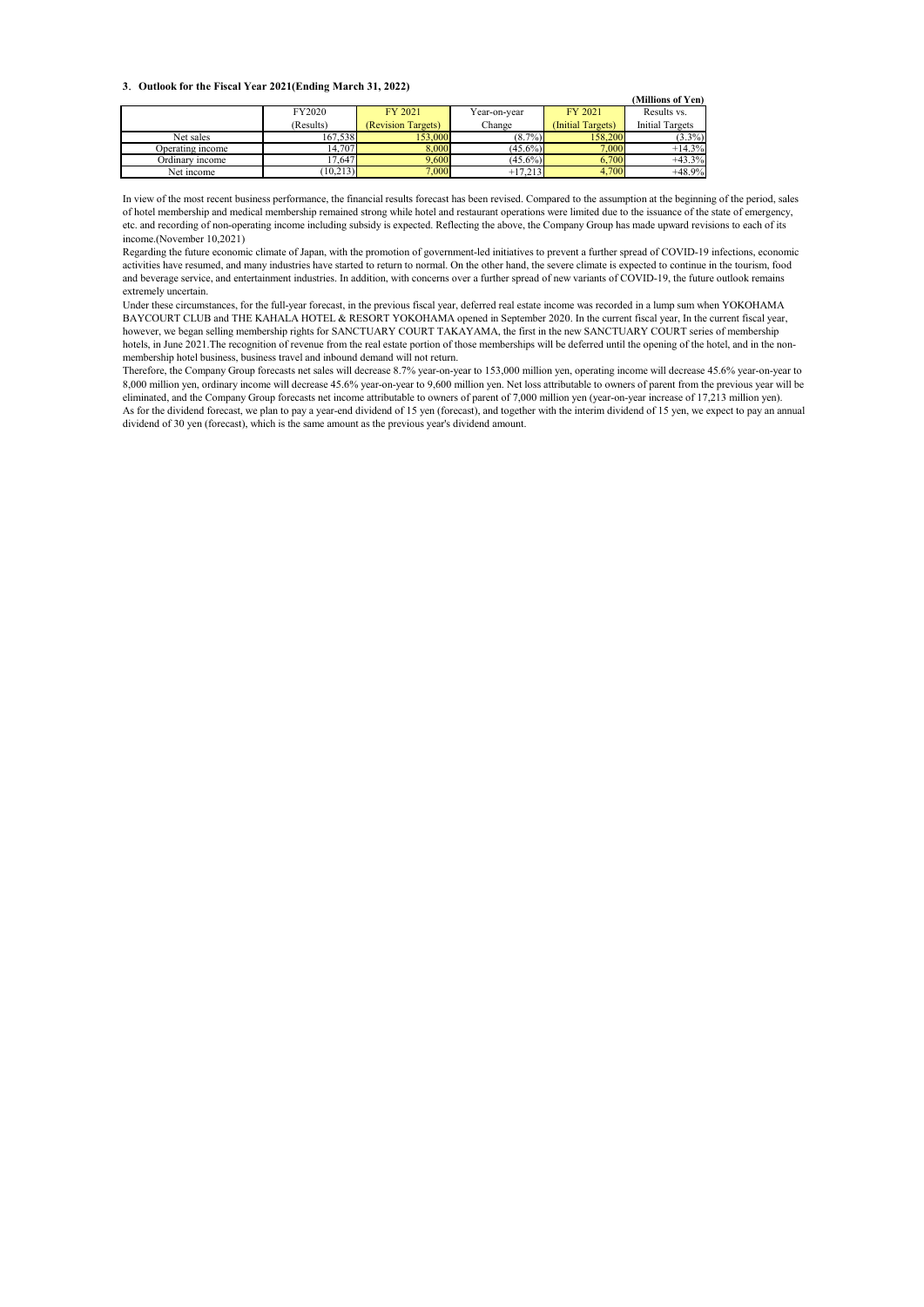#### **3**. **Outlook for the Fiscal Year 2021(Ending March 31, 2022)**

|                  | $\sim$    |                    |              |                   | (Millions of Yen)      |
|------------------|-----------|--------------------|--------------|-------------------|------------------------|
|                  | FY2020    | FY 2021            | Year-on-year | FY 2021           | Results vs.            |
|                  | (Results) | (Revision Targets) | Change       | (Initial Targets) | <b>Initial Targets</b> |
| Net sales        | 167,538   | 153,000            | $(8.7\%)$    | 158,200           | $(3.3\%)$              |
| Operating income | 14,707    | 8,000              | $(45.6\%)$   | 7,000             | $+14.3%$               |
| Ordinary income  | 17,647    | 9,600              | $(45.6\%)$   | 6,700             | $+43.3%$               |
| Net income       | (10,213)  | 7,000              | $+17.213$    | 4.700             | $+48.9%$               |

In view of the most recent business performance, the financial results forecast has been revised. Compared to the assumption at the beginning of the period, sales of hotel membership and medical membership remained strong while hotel and restaurant operations were limited due to the issuance of the state of emergency, etc. and recording of non-operating income including subsidy is expected. Reflecting the above, the Company Group has made upward revisions to each of its income.(November 10,2021)

Regarding the future economic climate of Japan, with the promotion of government-led initiatives to prevent a further spread of COVID-19 infections, economic activities have resumed, and many industries have started to return to normal. On the other hand, the severe climate is expected to continue in the tourism, food and beverage service, and entertainment industries. In addition, with concerns over a further spread of new variants of COVID-19, the future outlook remains extremely uncertain.

Under these circumstances, for the full-year forecast, in the previous fiscal year, deferred real estate income was recorded in a lump sum when YOKOHAMA BAYCOURT CLUB and THE KAHALA HOTEL & RESORT YOKOHAMA opened in September 2020. In the current fiscal year, In the current fiscal year, however, we began selling membership rights for SANCTUARY COURT TAKAYAMA, the first in the new SANCTUARY COURT series of membership hotels, in June 2021. The recognition of revenue from the real estate portion of those memberships will be deferred until the opening of the hotel, and in the nonmembership hotel business, business travel and inbound demand will not return.

Therefore, the Company Group forecasts net sales will decrease 8.7% year-on-year to 153,000 million yen, operating income will decrease 45.6% year-on-year to 8,000 million yen, ordinary income will decrease 45.6% year-on-year to 9,600 million yen. Net loss attributable to owners of parent from the previous year will be eliminated, and the Company Group forecasts net income attributable to owners of parent of 7,000 million yen (year-on-year increase of 17,213 million yen). As for the dividend forecast, we plan to pay a year-end dividend of 15 yen (forecast), and together with the interim dividend of 15 yen, we expect to pay an annual dividend of 30 yen (forecast), which is the same amount as the previous year's dividend amount.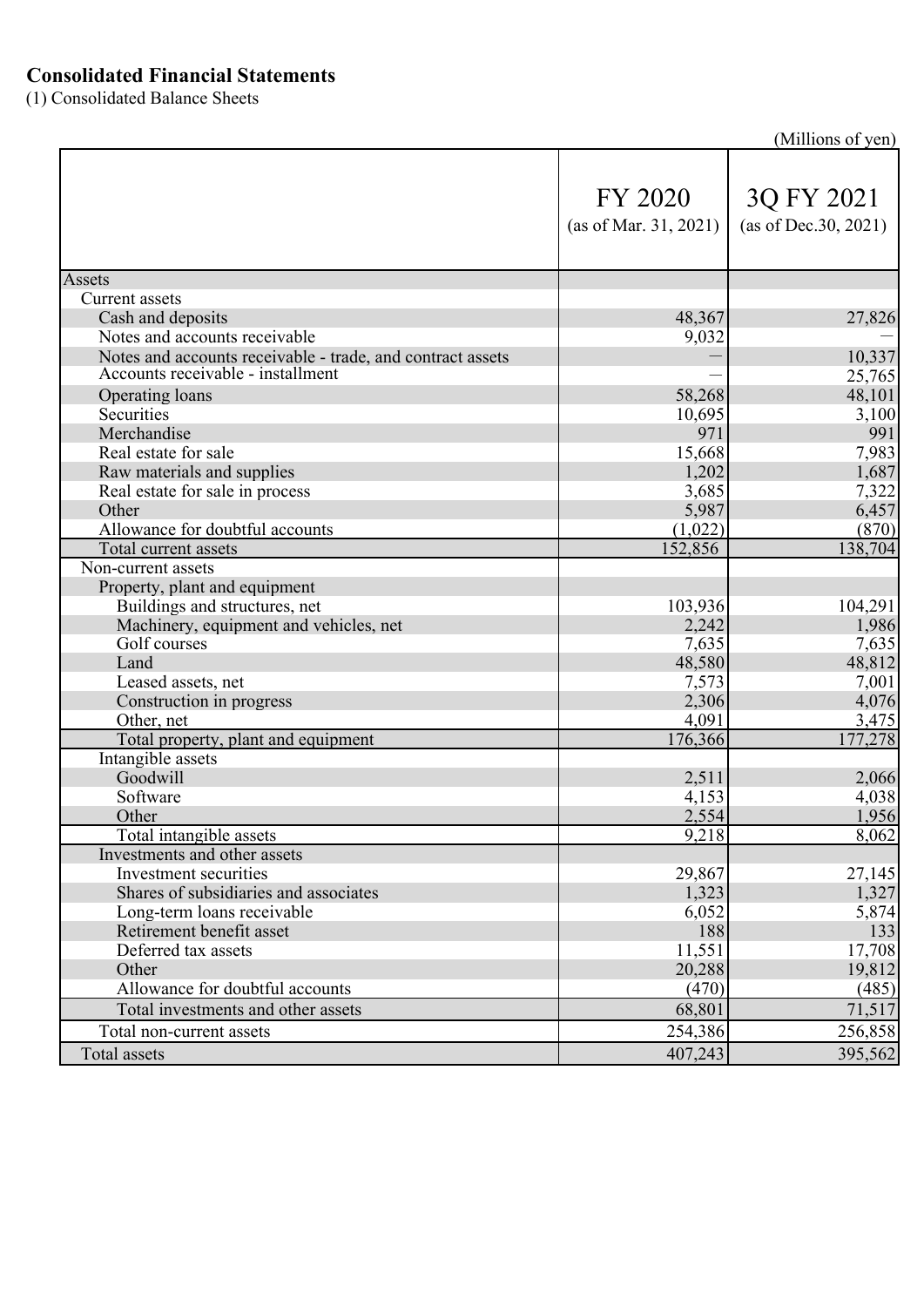### **Consolidated Financial Statements**

(1) Consolidated Balance Sheets

(Millions of yen)

|                                                            | FY 2020<br>(as of Mar. 31, 2021) | 3Q FY 2021<br>(as of Dec.30, 2021) |
|------------------------------------------------------------|----------------------------------|------------------------------------|
| Assets                                                     |                                  |                                    |
| <b>Current</b> assets                                      |                                  |                                    |
| Cash and deposits                                          | 48,367                           | 27,826                             |
| Notes and accounts receivable                              | 9,032                            |                                    |
| Notes and accounts receivable - trade, and contract assets |                                  | 10,337                             |
| Accounts receivable - installment                          |                                  | 25,765                             |
| Operating loans                                            | 58,268                           | 48,101                             |
| Securities                                                 | 10,695                           | 3,100                              |
| Merchandise                                                | 971                              | 991                                |
| Real estate for sale                                       | 15,668                           | 7,983                              |
| Raw materials and supplies                                 | 1,202                            | 1,687                              |
| Real estate for sale in process                            | 3,685                            | 7,322                              |
| Other                                                      | 5,987                            | 6,457                              |
| Allowance for doubtful accounts                            | (1,022)                          | (870)                              |
| Total current assets                                       | 152,856                          | 138,704                            |
| Non-current assets                                         |                                  |                                    |
| Property, plant and equipment                              |                                  |                                    |
| Buildings and structures, net                              | 103,936                          | 104,291                            |
| Machinery, equipment and vehicles, net<br>Golf courses     | 2,242                            | 1,986                              |
| Land                                                       | 7,635                            | 7,635                              |
|                                                            | 48,580                           | 48,812                             |
| Leased assets, net                                         | 7,573<br>2,306                   | 7,001<br>4,076                     |
| Construction in progress<br>Other, net                     | 4,091                            | 3,475                              |
| Total property, plant and equipment                        | 176,366                          | 177,278                            |
| Intangible assets                                          |                                  |                                    |
| Goodwill                                                   | 2,511                            | 2,066                              |
| Software                                                   | 4,153                            | 4,038                              |
| Other                                                      | 2,554                            | 1,956                              |
| Total intangible assets                                    | 9,218                            | 8,062                              |
| Investments and other assets                               |                                  |                                    |
| Investment securities                                      | 29,867                           | 27,145                             |
| Shares of subsidiaries and associates                      | 1,323                            | 1,327                              |
| Long-term loans receivable                                 | 6,052                            | 5,874                              |
| Retirement benefit asset                                   | 188                              | 133                                |
| Deferred tax assets                                        | 11,551                           | 17,708                             |
| Other                                                      | 20,288                           | 19,812                             |
| Allowance for doubtful accounts                            | (470)                            | (485)                              |
| Total investments and other assets                         | 68,801                           | 71,517                             |
| Total non-current assets                                   | 254,386                          | 256,858                            |
| Total assets                                               | 407,243                          | 395,562                            |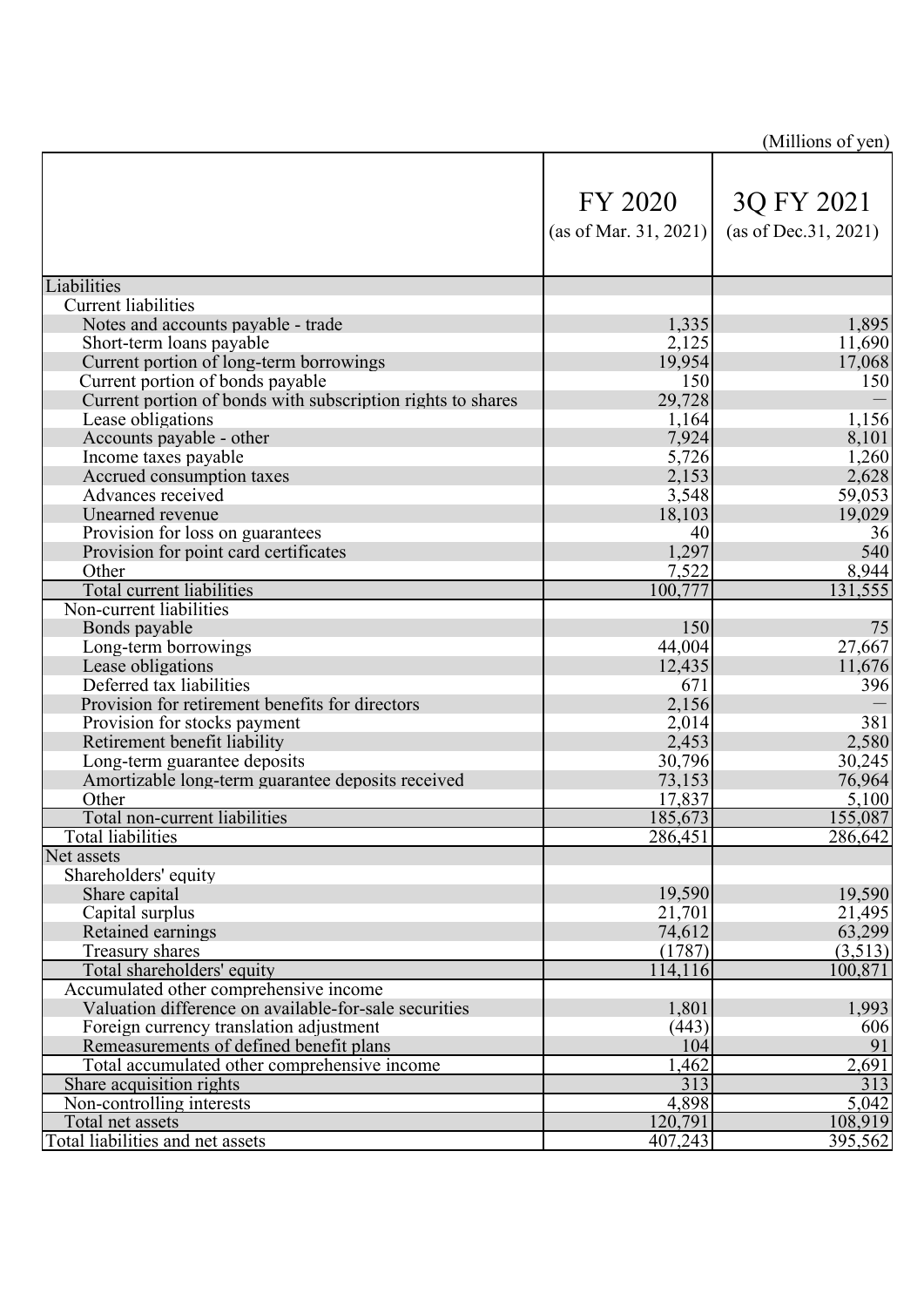|                                                             |                                  | (Millions of yen)                  |
|-------------------------------------------------------------|----------------------------------|------------------------------------|
|                                                             | FY 2020<br>(as of Mar. 31, 2021) | 3Q FY 2021<br>(as of Dec.31, 2021) |
| Liabilities                                                 |                                  |                                    |
| <b>Current liabilities</b>                                  |                                  |                                    |
| Notes and accounts payable - trade                          | 1,335                            | 1,895                              |
| Short-term loans payable                                    | 2,125                            | 11,690                             |
| Current portion of long-term borrowings                     | 19,954                           | 17,068                             |
| Current portion of bonds payable                            | 150                              | 150                                |
| Current portion of bonds with subscription rights to shares | 29,728                           |                                    |
| Lease obligations                                           | 1,164                            | 1,156                              |
| Accounts payable - other                                    | 7,924                            | 8,101                              |
| Income taxes payable                                        | 5,726                            | 1,260                              |
| Accrued consumption taxes                                   | 2,153                            | 2,628                              |
| Advances received                                           | 3,548                            | 59,053                             |
| Unearned revenue                                            | 18,103                           | 19,029                             |
| Provision for loss on guarantees                            | 40                               | 36                                 |
| Provision for point card certificates                       | 1,297                            | 540                                |
| Other                                                       | 7,522                            | 8,944                              |
| Total current liabilities                                   | 100,777                          | 131,555                            |
| Non-current liabilities                                     |                                  |                                    |
| Bonds payable                                               | 150                              | 75                                 |
| Long-term borrowings                                        | 44,004                           | 27,667                             |
| Lease obligations                                           | 12,435                           | 11,676                             |
| Deferred tax liabilities                                    | 671                              | 396                                |
| Provision for retirement benefits for directors             | 2,156                            |                                    |
| Provision for stocks payment                                | 2,014                            | 381                                |
| Retirement benefit liability                                | 2,453                            | 2,580                              |
| Long-term guarantee deposits                                | 30,796                           | 30,245                             |
| Amortizable long-term guarantee deposits received           | 73,153                           | 76,964                             |
| Other<br>Total non-current liabilities                      | 17,837                           | 5,100                              |
| <b>Total liabilities</b>                                    | 185,673<br>286,451               | 155,087<br>286,642                 |
| Net assets                                                  |                                  |                                    |
| Shareholders' equity                                        |                                  |                                    |
| Share capital                                               | 19,590                           | 19,590                             |
| Capital surplus                                             | 21,701                           | 21,495                             |
| Retained earnings                                           | 74,612                           | 63,299                             |
| Treasury shares                                             | (1787)                           | (3,513)                            |
| Total shareholders' equity                                  | 114,116                          | 100,871                            |
| Accumulated other comprehensive income                      |                                  |                                    |
| Valuation difference on available-for-sale securities       | 1,801                            | 1,993                              |
| Foreign currency translation adjustment                     | (443)                            | 606                                |
| Remeasurements of defined benefit plans                     | 104                              | 91                                 |
| Total accumulated other comprehensive income                | 1,462                            | 2,691                              |
| Share acquisition rights                                    | 313                              | 313                                |
| Non-controlling interests                                   | 4,898                            | 5,042                              |
| Total net assets                                            | 120,791                          | 108,919                            |
| Total liabilities and net assets                            | 407,243                          | 395,562                            |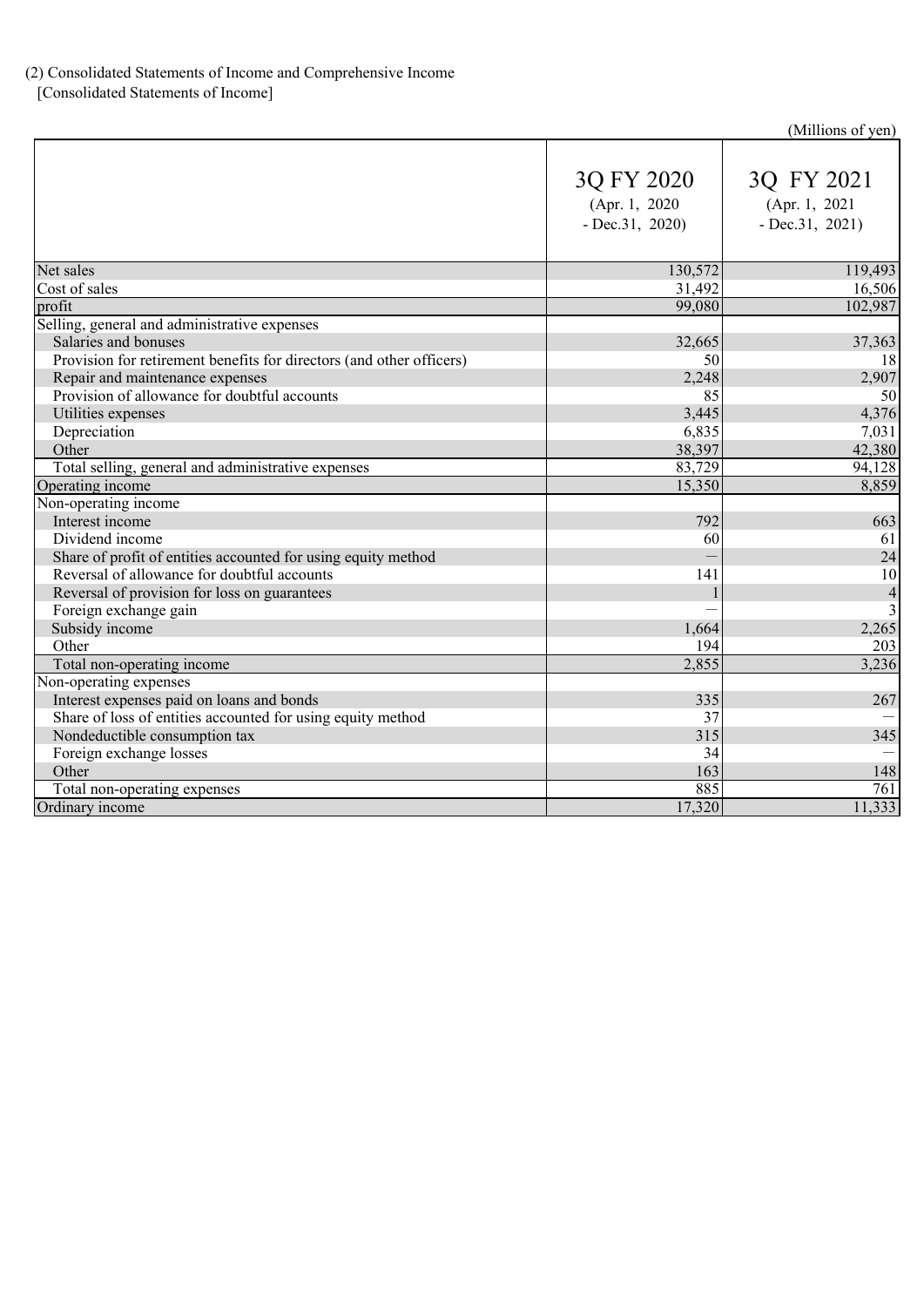### (2) Consolidated Statements of Income and Comprehensive Income

[Consolidated Statements of Income]

### (Millions of yen)

|                                                                      | 3Q FY 2020<br>(Apr. 1, 2020)<br>$-$ Dec.31, 2020) | 3Q FY 2021<br>(Apr. 1, 2021<br>$-$ Dec. 31, 2021) |
|----------------------------------------------------------------------|---------------------------------------------------|---------------------------------------------------|
| Net sales                                                            | 130,572                                           | 119,493                                           |
| Cost of sales                                                        | 31,492                                            | 16,506                                            |
| profit                                                               | 99,080                                            | 102,987                                           |
| Selling, general and administrative expenses                         |                                                   |                                                   |
| Salaries and bonuses                                                 | 32,665                                            | 37,363                                            |
| Provision for retirement benefits for directors (and other officers) | 50                                                | 18                                                |
| Repair and maintenance expenses                                      | 2,248                                             | 2,907                                             |
| Provision of allowance for doubtful accounts                         | 85                                                | 50                                                |
| Utilities expenses                                                   | 3,445                                             | 4,376                                             |
| Depreciation                                                         | 6,835                                             | 7,031                                             |
| Other                                                                | 38,397                                            | 42,380                                            |
| Total selling, general and administrative expenses                   | 83,729                                            | 94,128                                            |
| Operating income                                                     | 15,350                                            | 8,859                                             |
| Non-operating income                                                 |                                                   |                                                   |
| Interest income                                                      | 792                                               | 663                                               |
| Dividend income                                                      | 60                                                | 61                                                |
| Share of profit of entities accounted for using equity method        |                                                   | 24                                                |
| Reversal of allowance for doubtful accounts                          | 141                                               | 10                                                |
| Reversal of provision for loss on guarantees                         |                                                   | $\overline{4}$                                    |
| Foreign exchange gain                                                |                                                   | $\overline{3}$                                    |
| Subsidy income                                                       | 1,664                                             | 2,265                                             |
| Other                                                                | 194                                               | 203                                               |
| Total non-operating income                                           | 2,855                                             | 3,236                                             |
| Non-operating expenses                                               |                                                   |                                                   |
| Interest expenses paid on loans and bonds                            | 335                                               | 267                                               |
| Share of loss of entities accounted for using equity method          | 37                                                |                                                   |
| Nondeductible consumption tax                                        | 315                                               | 345                                               |
| Foreign exchange losses                                              | 34                                                |                                                   |
| Other                                                                | 163                                               | 148                                               |
| Total non-operating expenses                                         | 885                                               | $\overline{761}$                                  |
| Ordinary income                                                      | 17,320                                            | 11,333                                            |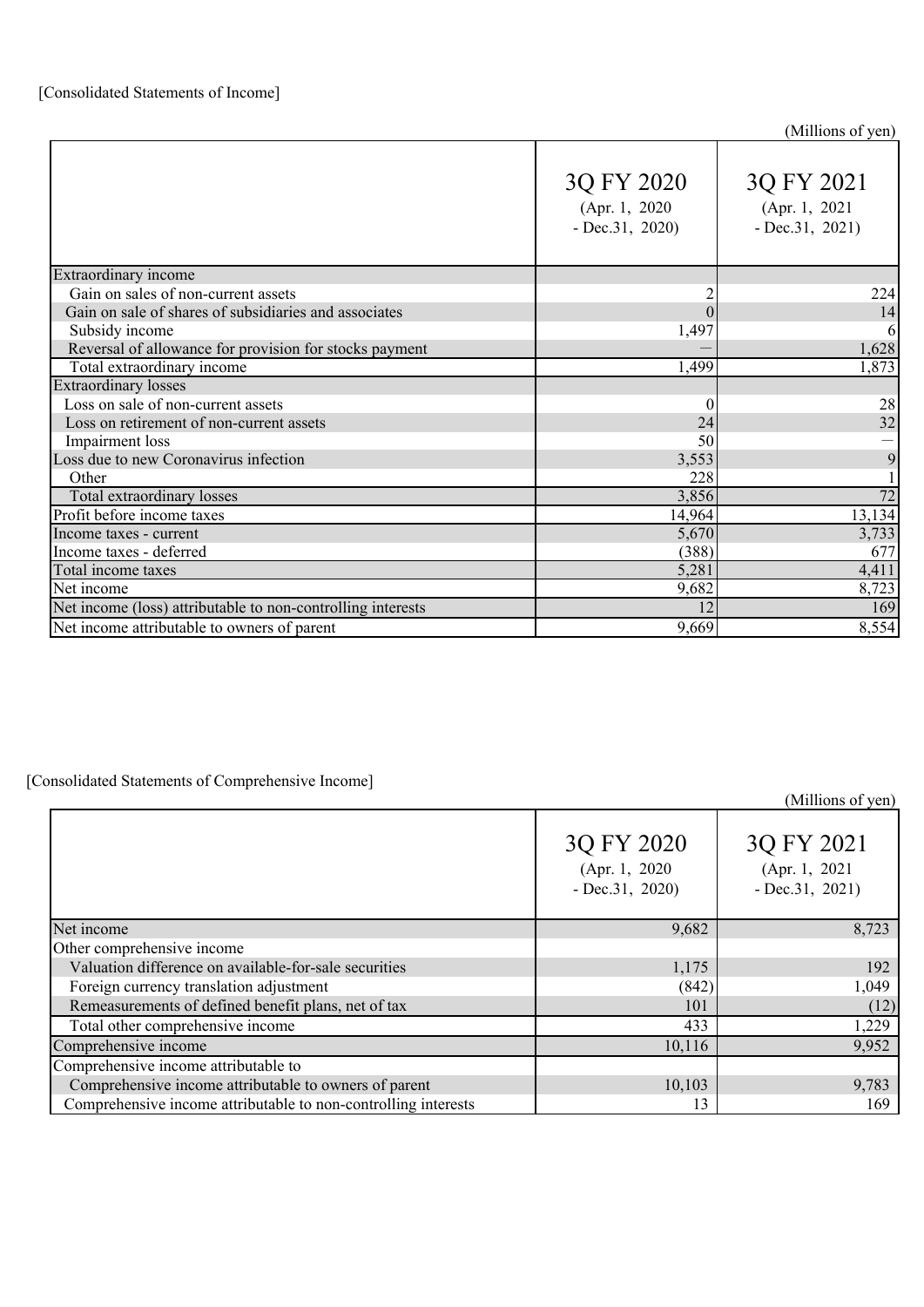|                                                             | 3Q FY 2020<br>(Apr. 1, 2020)<br>$-$ Dec.31, 2020) | 3Q FY 2021<br>(Apr. 1, 2021<br>$-$ Dec. 31, 2021) |
|-------------------------------------------------------------|---------------------------------------------------|---------------------------------------------------|
| Extraordinary income                                        |                                                   |                                                   |
| Gain on sales of non-current assets                         |                                                   | 224                                               |
| Gain on sale of shares of subsidiaries and associates       | $\overline{0}$                                    | 14                                                |
| Subsidy income                                              | 1,497                                             | 6                                                 |
| Reversal of allowance for provision for stocks payment      |                                                   | 1,628                                             |
| Total extraordinary income                                  | 1,499                                             | 1,873                                             |
| <b>Extraordinary losses</b>                                 |                                                   |                                                   |
| Loss on sale of non-current assets                          | $\theta$                                          | 28                                                |
| Loss on retirement of non-current assets                    | 24                                                | 32                                                |
| Impairment loss                                             | 50                                                |                                                   |
| Loss due to new Coronavirus infection                       | 3,553                                             | 9                                                 |
| Other                                                       | 228                                               |                                                   |
| Total extraordinary losses                                  | 3,856                                             | 72                                                |
| Profit before income taxes                                  | 14,964                                            | 13,134                                            |
| Income taxes - current                                      | 5,670                                             | 3,733                                             |
| Income taxes - deferred                                     | (388)                                             | 677                                               |
| Total income taxes                                          | 5,281                                             | 4,411                                             |
| Net income                                                  | 9,682                                             | 8,723                                             |
| Net income (loss) attributable to non-controlling interests | 12                                                | 169                                               |
| Net income attributable to owners of parent                 | 9,669                                             | 8,554                                             |

#### [Consolidated Statements of Comprehensive Income]

(Millions of yen) Net income 9,682 8,723 Other comprehensive income Valuation difference on available-for-sale securities 1,175 1,175 1 Foreign currency translation adjustment (842) 1,049 Remeasurements of defined benefit plans, net of tax  $101$  (12) (12) Total other comprehensive income 433 1,229 Comprehensive income 9,952 Comprehensive income attributable to Comprehensive income attributable to owners of parent 10,103 9,783 Comprehensive income attributable to non-controlling interests 13 169 3Q FY 2020 (Apr. 1, 2020 - Dec.31, 2020) 3Q FY 2021 (Apr. 1, 2021 - Dec.31, 2021)